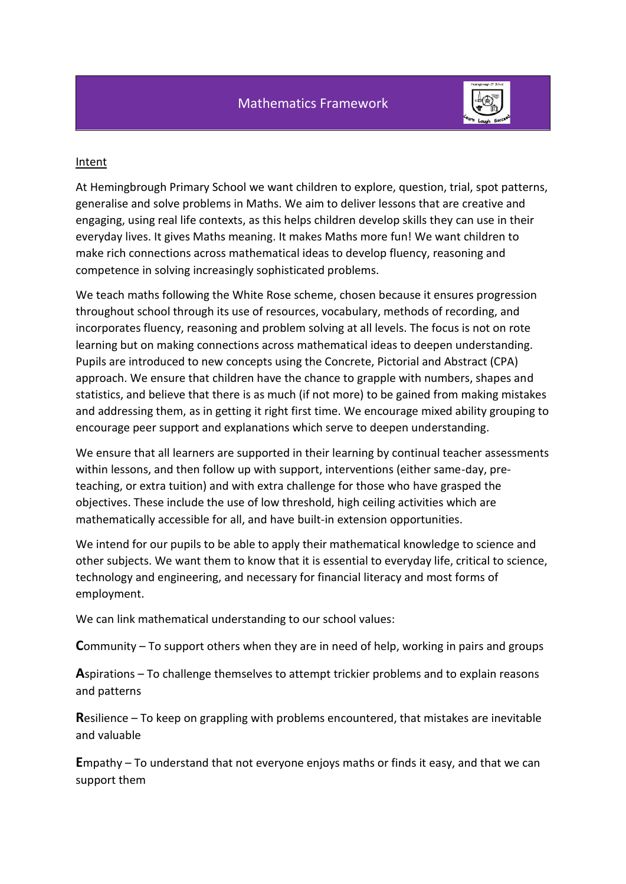

#### Intent

At Hemingbrough Primary School we want children to explore, question, trial, spot patterns, generalise and solve problems in Maths. We aim to deliver lessons that are creative and engaging, using real life contexts, as this helps children develop skills they can use in their everyday lives. It gives Maths meaning. It makes Maths more fun! We want children to make rich connections across mathematical ideas to develop fluency, reasoning and competence in solving increasingly sophisticated problems.

We teach maths following the White Rose scheme, chosen because it ensures progression throughout school through its use of resources, vocabulary, methods of recording, and incorporates fluency, reasoning and problem solving at all levels. The focus is not on rote learning but on making connections across mathematical ideas to deepen understanding. Pupils are introduced to new concepts using the Concrete, Pictorial and Abstract (CPA) approach. We ensure that children have the chance to grapple with numbers, shapes and statistics, and believe that there is as much (if not more) to be gained from making mistakes and addressing them, as in getting it right first time. We encourage mixed ability grouping to encourage peer support and explanations which serve to deepen understanding.

We ensure that all learners are supported in their learning by continual teacher assessments within lessons, and then follow up with support, interventions (either same-day, preteaching, or extra tuition) and with extra challenge for those who have grasped the objectives. These include the use of low threshold, high ceiling activities which are mathematically accessible for all, and have built-in extension opportunities.

We intend for our pupils to be able to apply their mathematical knowledge to science and other subjects. We want them to know that it is essential to everyday life, critical to science, technology and engineering, and necessary for financial literacy and most forms of employment.

We can link mathematical understanding to our school values:

**C**ommunity – To support others when they are in need of help, working in pairs and groups

**A**spirations – To challenge themselves to attempt trickier problems and to explain reasons and patterns

**R**esilience – To keep on grappling with problems encountered, that mistakes are inevitable and valuable

**E**mpathy – To understand that not everyone enjoys maths or finds it easy, and that we can support them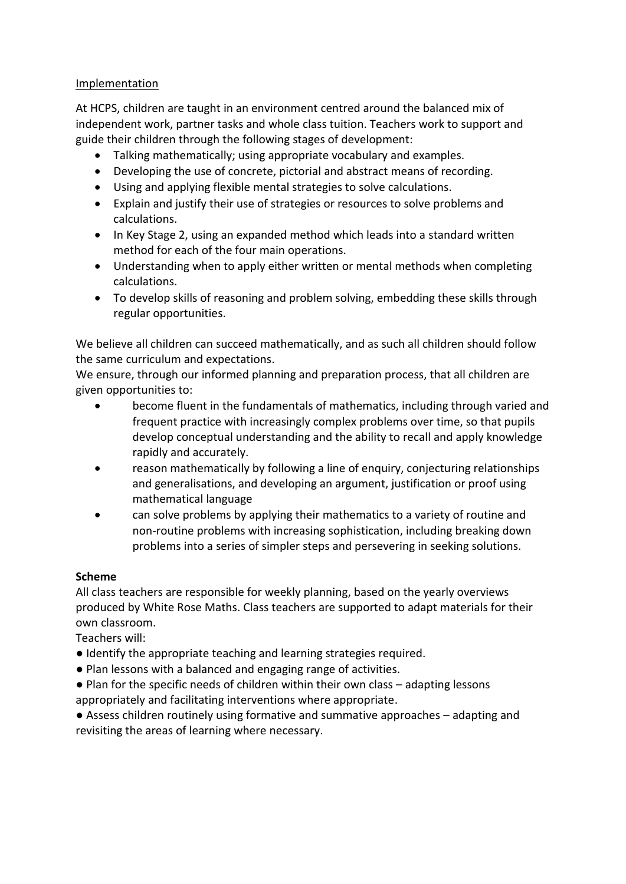### Implementation

At HCPS, children are taught in an environment centred around the balanced mix of independent work, partner tasks and whole class tuition. Teachers work to support and guide their children through the following stages of development:

- Talking mathematically; using appropriate vocabulary and examples.
- Developing the use of concrete, pictorial and abstract means of recording.
- Using and applying flexible mental strategies to solve calculations.
- Explain and justify their use of strategies or resources to solve problems and calculations.
- In Key Stage 2, using an expanded method which leads into a standard written method for each of the four main operations.
- Understanding when to apply either written or mental methods when completing calculations.
- To develop skills of reasoning and problem solving, embedding these skills through regular opportunities.

We believe all children can succeed mathematically, and as such all children should follow the same curriculum and expectations.

We ensure, through our informed planning and preparation process, that all children are given opportunities to:

- become fluent in the fundamentals of mathematics, including through varied and frequent practice with increasingly complex problems over time, so that pupils develop conceptual understanding and the ability to recall and apply knowledge rapidly and accurately.
- reason mathematically by following a line of enquiry, conjecturing relationships and generalisations, and developing an argument, justification or proof using mathematical language
- can solve problems by applying their mathematics to a variety of routine and non-routine problems with increasing sophistication, including breaking down problems into a series of simpler steps and persevering in seeking solutions.

#### **Scheme**

All class teachers are responsible for weekly planning, based on the yearly overviews produced by White Rose Maths. Class teachers are supported to adapt materials for their own classroom.

Teachers will:

- Identify the appropriate teaching and learning strategies required.
- Plan lessons with a balanced and engaging range of activities.
- Plan for the specific needs of children within their own class adapting lessons appropriately and facilitating interventions where appropriate.

● Assess children routinely using formative and summative approaches – adapting and revisiting the areas of learning where necessary.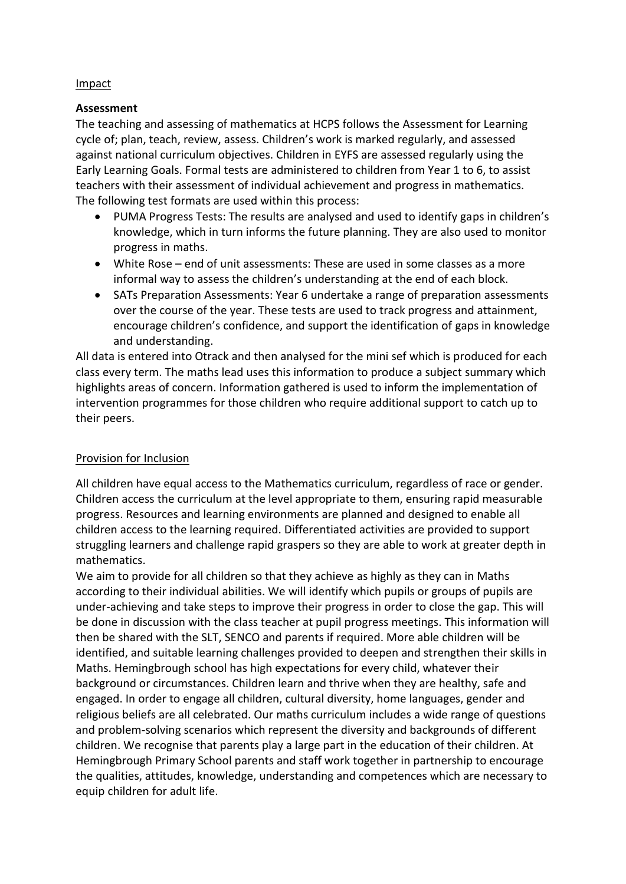#### Impact

### **Assessment**

The teaching and assessing of mathematics at HCPS follows the Assessment for Learning cycle of; plan, teach, review, assess. Children's work is marked regularly, and assessed against national curriculum objectives. Children in EYFS are assessed regularly using the Early Learning Goals. Formal tests are administered to children from Year 1 to 6, to assist teachers with their assessment of individual achievement and progress in mathematics. The following test formats are used within this process:

- PUMA Progress Tests: The results are analysed and used to identify gaps in children's knowledge, which in turn informs the future planning. They are also used to monitor progress in maths.
- White Rose end of unit assessments: These are used in some classes as a more informal way to assess the children's understanding at the end of each block.
- SATs Preparation Assessments: Year 6 undertake a range of preparation assessments over the course of the year. These tests are used to track progress and attainment, encourage children's confidence, and support the identification of gaps in knowledge and understanding.

All data is entered into Otrack and then analysed for the mini sef which is produced for each class every term. The maths lead uses this information to produce a subject summary which highlights areas of concern. Information gathered is used to inform the implementation of intervention programmes for those children who require additional support to catch up to their peers.

## Provision for Inclusion

All children have equal access to the Mathematics curriculum, regardless of race or gender. Children access the curriculum at the level appropriate to them, ensuring rapid measurable progress. Resources and learning environments are planned and designed to enable all children access to the learning required. Differentiated activities are provided to support struggling learners and challenge rapid graspers so they are able to work at greater depth in mathematics.

We aim to provide for all children so that they achieve as highly as they can in Maths according to their individual abilities. We will identify which pupils or groups of pupils are under-achieving and take steps to improve their progress in order to close the gap. This will be done in discussion with the class teacher at pupil progress meetings. This information will then be shared with the SLT, SENCO and parents if required. More able children will be identified, and suitable learning challenges provided to deepen and strengthen their skills in Maths. Hemingbrough school has high expectations for every child, whatever their background or circumstances. Children learn and thrive when they are healthy, safe and engaged. In order to engage all children, cultural diversity, home languages, gender and religious beliefs are all celebrated. Our maths curriculum includes a wide range of questions and problem-solving scenarios which represent the diversity and backgrounds of different children. We recognise that parents play a large part in the education of their children. At Hemingbrough Primary School parents and staff work together in partnership to encourage the qualities, attitudes, knowledge, understanding and competences which are necessary to equip children for adult life.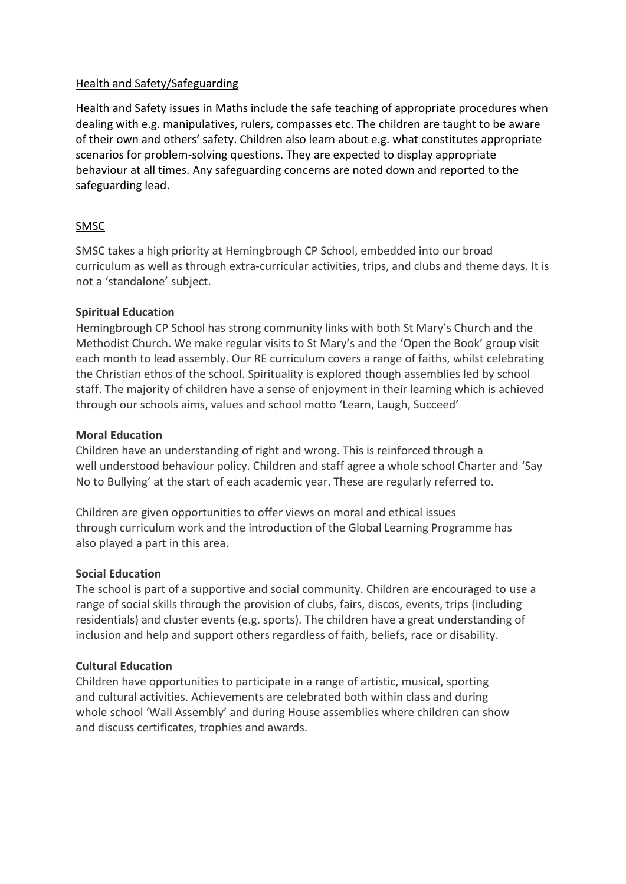## Health and Safety/Safeguarding

Health and Safety issues in Maths include the safe teaching of appropriate procedures when dealing with e.g. manipulatives, rulers, compasses etc. The children are taught to be aware of their own and others' safety. Children also learn about e.g. what constitutes appropriate scenarios for problem-solving questions. They are expected to display appropriate behaviour at all times. Any safeguarding concerns are noted down and reported to the safeguarding lead.

## SMSC

SMSC takes a high priority at Hemingbrough CP School, embedded into our broad curriculum as well as through extra-curricular activities, trips, and clubs and theme days. It is not a 'standalone' subject.

### **Spiritual Education**

Hemingbrough CP School has strong community links with both St Mary's Church and the Methodist Church. We make regular visits to St Mary's and the 'Open the Book' group visit each month to lead assembly. Our RE curriculum covers a range of faiths, whilst celebrating the Christian ethos of the school. Spirituality is explored though assemblies led by school staff. The majority of children have a sense of enjoyment in their learning which is achieved through our schools aims, values and school motto 'Learn, Laugh, Succeed'

### **Moral Education**

Children have an understanding of right and wrong. This is reinforced through a well understood behaviour policy. Children and staff agree a whole school Charter and 'Say No to Bullying' at the start of each academic year. These are regularly referred to.

Children are given opportunities to offer views on moral and ethical issues through curriculum work and the introduction of the Global Learning Programme has also played a part in this area.

#### **Social Education**

The school is part of a supportive and social community. Children are encouraged to use a range of social skills through the provision of clubs, fairs, discos, events, trips (including residentials) and cluster events (e.g. sports). The children have a great understanding of inclusion and help and support others regardless of faith, beliefs, race or disability.

## **Cultural Education**

Children have opportunities to participate in a range of artistic, musical, sporting and cultural activities. Achievements are celebrated both within class and during whole school 'Wall Assembly' and during House assemblies where children can show and discuss certificates, trophies and awards.